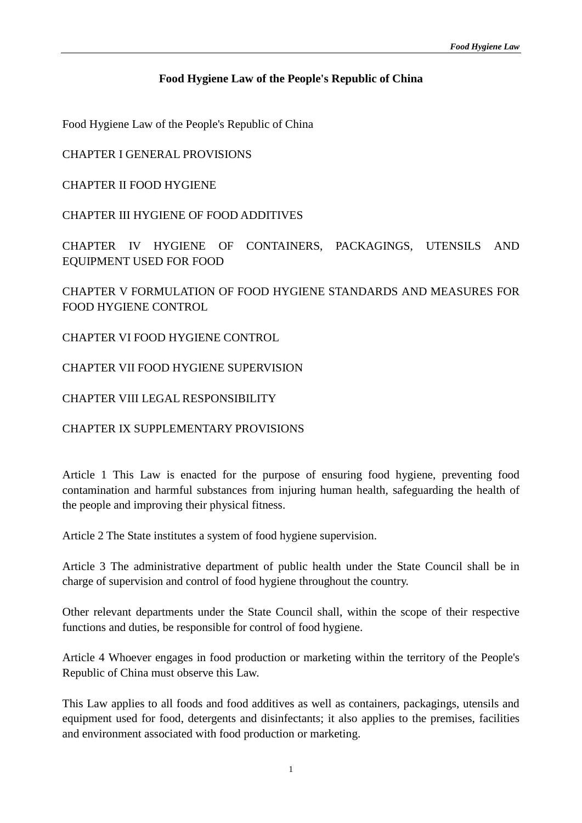### **Food Hygiene Law of the People's Republic of China**

Food Hygiene Law of the People's Republic of China

CHAPTER I GENERAL PROVISIONS

CHAPTER II FOOD HYGIENE

CHAPTER III HYGIENE OF FOOD ADDITIVES

CHAPTER IV HYGIENE OF CONTAINERS, PACKAGINGS, UTENSILS AND EQUIPMENT USED FOR FOOD

CHAPTER V FORMULATION OF FOOD HYGIENE STANDARDS AND MEASURES FOR FOOD HYGIENE CONTROL

CHAPTER VI FOOD HYGIENE CONTROL

CHAPTER VII FOOD HYGIENE SUPERVISION

CHAPTER VIII LEGAL RESPONSIBILITY

CHAPTER IX SUPPLEMENTARY PROVISIONS

Article 1 This Law is enacted for the purpose of ensuring food hygiene, preventing food contamination and harmful substances from injuring human health, safeguarding the health of the people and improving their physical fitness.

Article 2 The State institutes a system of food hygiene supervision.

Article 3 The administrative department of public health under the State Council shall be in charge of supervision and control of food hygiene throughout the country.

Other relevant departments under the State Council shall, within the scope of their respective functions and duties, be responsible for control of food hygiene.

Article 4 Whoever engages in food production or marketing within the territory of the People's Republic of China must observe this Law.

This Law applies to all foods and food additives as well as containers, packagings, utensils and equipment used for food, detergents and disinfectants; it also applies to the premises, facilities and environment associated with food production or marketing.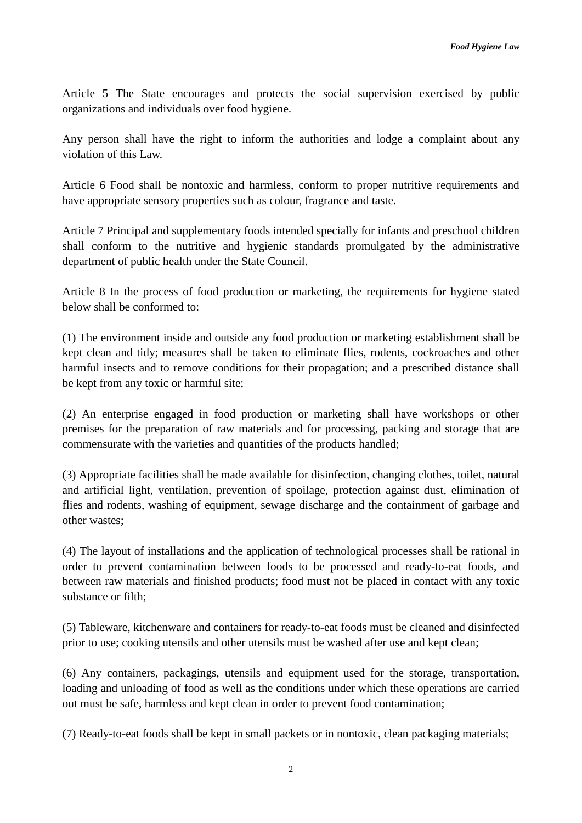Article 5 The State encourages and protects the social supervision exercised by public organizations and individuals over food hygiene.

Any person shall have the right to inform the authorities and lodge a complaint about any violation of this Law.

Article 6 Food shall be nontoxic and harmless, conform to proper nutritive requirements and have appropriate sensory properties such as colour, fragrance and taste.

Article 7 Principal and supplementary foods intended specially for infants and preschool children shall conform to the nutritive and hygienic standards promulgated by the administrative department of public health under the State Council.

Article 8 In the process of food production or marketing, the requirements for hygiene stated below shall be conformed to:

(1) The environment inside and outside any food production or marketing establishment shall be kept clean and tidy; measures shall be taken to eliminate flies, rodents, cockroaches and other harmful insects and to remove conditions for their propagation; and a prescribed distance shall be kept from any toxic or harmful site;

(2) An enterprise engaged in food production or marketing shall have workshops or other premises for the preparation of raw materials and for processing, packing and storage that are commensurate with the varieties and quantities of the products handled;

(3) Appropriate facilities shall be made available for disinfection, changing clothes, toilet, natural and artificial light, ventilation, prevention of spoilage, protection against dust, elimination of flies and rodents, washing of equipment, sewage discharge and the containment of garbage and other wastes;

(4) The layout of installations and the application of technological processes shall be rational in order to prevent contamination between foods to be processed and ready-to-eat foods, and between raw materials and finished products; food must not be placed in contact with any toxic substance or filth;

(5) Tableware, kitchenware and containers for ready-to-eat foods must be cleaned and disinfected prior to use; cooking utensils and other utensils must be washed after use and kept clean;

(6) Any containers, packagings, utensils and equipment used for the storage, transportation, loading and unloading of food as well as the conditions under which these operations are carried out must be safe, harmless and kept clean in order to prevent food contamination;

(7) Ready-to-eat foods shall be kept in small packets or in nontoxic, clean packaging materials;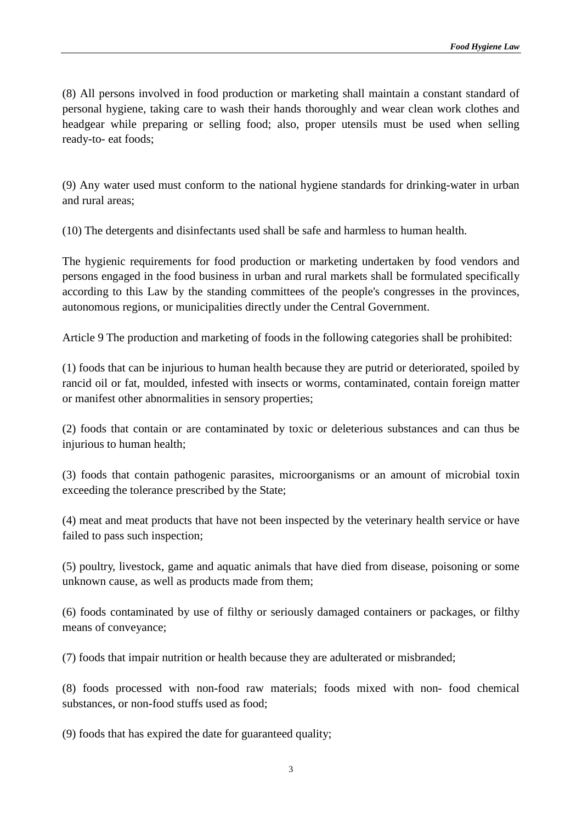(8) All persons involved in food production or marketing shall maintain a constant standard of personal hygiene, taking care to wash their hands thoroughly and wear clean work clothes and headgear while preparing or selling food; also, proper utensils must be used when selling ready-to- eat foods;

(9) Any water used must conform to the national hygiene standards for drinking-water in urban and rural areas;

(10) The detergents and disinfectants used shall be safe and harmless to human health.

The hygienic requirements for food production or marketing undertaken by food vendors and persons engaged in the food business in urban and rural markets shall be formulated specifically according to this Law by the standing committees of the people's congresses in the provinces, autonomous regions, or municipalities directly under the Central Government.

Article 9 The production and marketing of foods in the following categories shall be prohibited:

(1) foods that can be injurious to human health because they are putrid or deteriorated, spoiled by rancid oil or fat, moulded, infested with insects or worms, contaminated, contain foreign matter or manifest other abnormalities in sensory properties;

(2) foods that contain or are contaminated by toxic or deleterious substances and can thus be injurious to human health:

(3) foods that contain pathogenic parasites, microorganisms or an amount of microbial toxin exceeding the tolerance prescribed by the State;

(4) meat and meat products that have not been inspected by the veterinary health service or have failed to pass such inspection;

(5) poultry, livestock, game and aquatic animals that have died from disease, poisoning or some unknown cause, as well as products made from them;

(6) foods contaminated by use of filthy or seriously damaged containers or packages, or filthy means of conveyance;

(7) foods that impair nutrition or health because they are adulterated or misbranded;

(8) foods processed with non-food raw materials; foods mixed with non- food chemical substances, or non-food stuffs used as food;

(9) foods that has expired the date for guaranteed quality;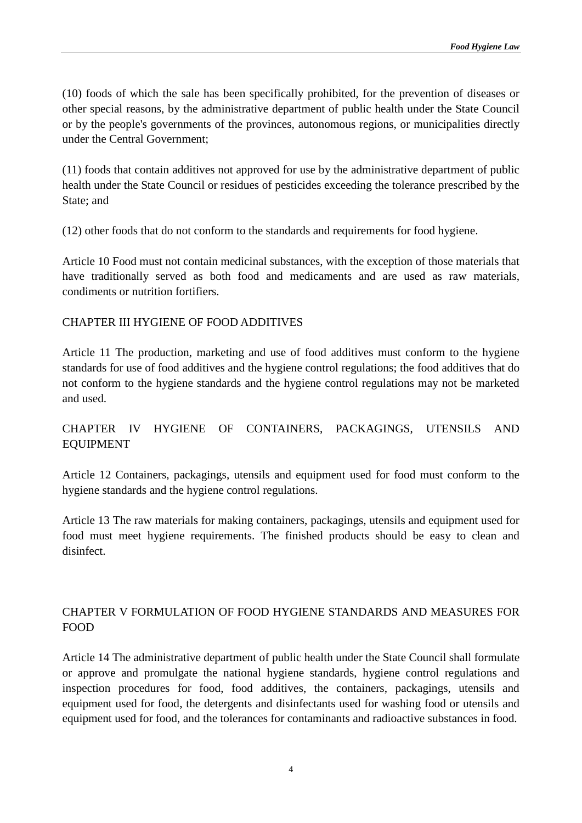(10) foods of which the sale has been specifically prohibited, for the prevention of diseases or other special reasons, by the administrative department of public health under the State Council or by the people's governments of the provinces, autonomous regions, or municipalities directly under the Central Government;

(11) foods that contain additives not approved for use by the administrative department of public health under the State Council or residues of pesticides exceeding the tolerance prescribed by the State; and

(12) other foods that do not conform to the standards and requirements for food hygiene.

Article 10 Food must not contain medicinal substances, with the exception of those materials that have traditionally served as both food and medicaments and are used as raw materials, condiments or nutrition fortifiers.

#### CHAPTER III HYGIENE OF FOOD ADDITIVES

Article 11 The production, marketing and use of food additives must conform to the hygiene standards for use of food additives and the hygiene control regulations; the food additives that do not conform to the hygiene standards and the hygiene control regulations may not be marketed and used.

## CHAPTER IV HYGIENE OF CONTAINERS, PACKAGINGS, UTENSILS AND EQUIPMENT

Article 12 Containers, packagings, utensils and equipment used for food must conform to the hygiene standards and the hygiene control regulations.

Article 13 The raw materials for making containers, packagings, utensils and equipment used for food must meet hygiene requirements. The finished products should be easy to clean and disinfect.

# CHAPTER V FORMULATION OF FOOD HYGIENE STANDARDS AND MEASURES FOR FOOD

Article 14 The administrative department of public health under the State Council shall formulate or approve and promulgate the national hygiene standards, hygiene control regulations and inspection procedures for food, food additives, the containers, packagings, utensils and equipment used for food, the detergents and disinfectants used for washing food or utensils and equipment used for food, and the tolerances for contaminants and radioactive substances in food.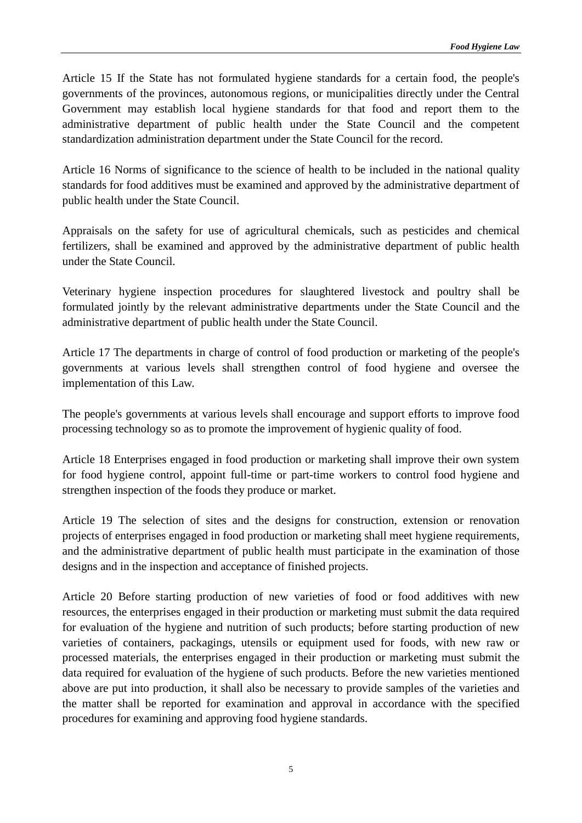Article 15 If the State has not formulated hygiene standards for a certain food, the people's governments of the provinces, autonomous regions, or municipalities directly under the Central Government may establish local hygiene standards for that food and report them to the administrative department of public health under the State Council and the competent standardization administration department under the State Council for the record.

Article 16 Norms of significance to the science of health to be included in the national quality standards for food additives must be examined and approved by the administrative department of public health under the State Council.

Appraisals on the safety for use of agricultural chemicals, such as pesticides and chemical fertilizers, shall be examined and approved by the administrative department of public health under the State Council.

Veterinary hygiene inspection procedures for slaughtered livestock and poultry shall be formulated jointly by the relevant administrative departments under the State Council and the administrative department of public health under the State Council.

Article 17 The departments in charge of control of food production or marketing of the people's governments at various levels shall strengthen control of food hygiene and oversee the implementation of this Law.

The people's governments at various levels shall encourage and support efforts to improve food processing technology so as to promote the improvement of hygienic quality of food.

Article 18 Enterprises engaged in food production or marketing shall improve their own system for food hygiene control, appoint full-time or part-time workers to control food hygiene and strengthen inspection of the foods they produce or market.

Article 19 The selection of sites and the designs for construction, extension or renovation projects of enterprises engaged in food production or marketing shall meet hygiene requirements, and the administrative department of public health must participate in the examination of those designs and in the inspection and acceptance of finished projects.

Article 20 Before starting production of new varieties of food or food additives with new resources, the enterprises engaged in their production or marketing must submit the data required for evaluation of the hygiene and nutrition of such products; before starting production of new varieties of containers, packagings, utensils or equipment used for foods, with new raw or processed materials, the enterprises engaged in their production or marketing must submit the data required for evaluation of the hygiene of such products. Before the new varieties mentioned above are put into production, it shall also be necessary to provide samples of the varieties and the matter shall be reported for examination and approval in accordance with the specified procedures for examining and approving food hygiene standards.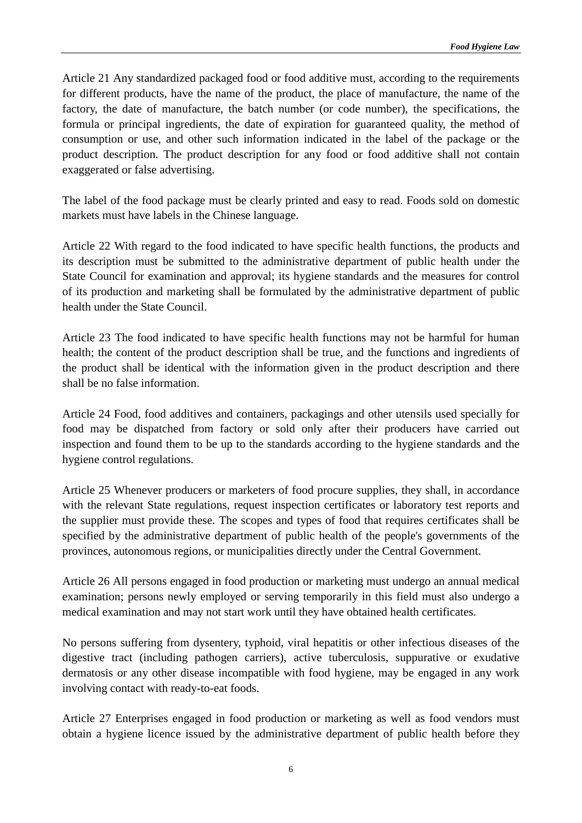Article 21 Any standardized packaged food or food additive must, according to the requirements for different products, have the name of the product, the place of manufacture, the name of the factory, the date of manufacture, the batch number (or code number), the specifications, the formula or principal ingredients, the date of expiration for guaranteed quality, the method of consumption or use, and other such information indicated in the label of the package or the product description. The product description for any food or food additive shall not contain exaggerated or false advertising.

The label of the food package must be clearly printed and easy to read. Foods sold on domestic markets must have labels in the Chinese language.

Article 22 With regard to the food indicated to have specific health functions, the products and its description must be submitted to the administrative department of public health under the State Council for examination and approval; its hygiene standards and the measures for control of its production and marketing shall be formulated by the administrative department of public health under the State Council.

Article 23 The food indicated to have specific health functions may not be harmful for human health; the content of the product description shall be true, and the functions and ingredients of the product shall be identical with the information given in the product description and there shall be no false information.

Article 24 Food, food additives and containers, packagings and other utensils used specially for food may be dispatched from factory or sold only after their producers have carried out inspection and found them to be up to the standards according to the hygiene standards and the hygiene control regulations.

Article 25 Whenever producers or marketers of food procure supplies, they shall, in accordance with the relevant State regulations, request inspection certificates or laboratory test reports and the supplier must provide these. The scopes and types of food that requires certificates shall be specified by the administrative department of public health of the people's governments of the provinces, autonomous regions, or municipalities directly under the Central Government.

Article 26 All persons engaged in food production or marketing must undergo an annual medical examination; persons newly employed or serving temporarily in this field must also undergo a medical examination and may not start work until they have obtained health certificates.

No persons suffering from dysentery, typhoid, viral hepatitis or other infectious diseases of the digestive tract (including pathogen carriers), active tuberculosis, suppurative or exudative dermatosis or any other disease incompatible with food hygiene, may be engaged in any work involving contact with ready-to-eat foods.

Article 27 Enterprises engaged in food production or marketing as well as food vendors must obtain a hygiene licence issued by the administrative department of public health before they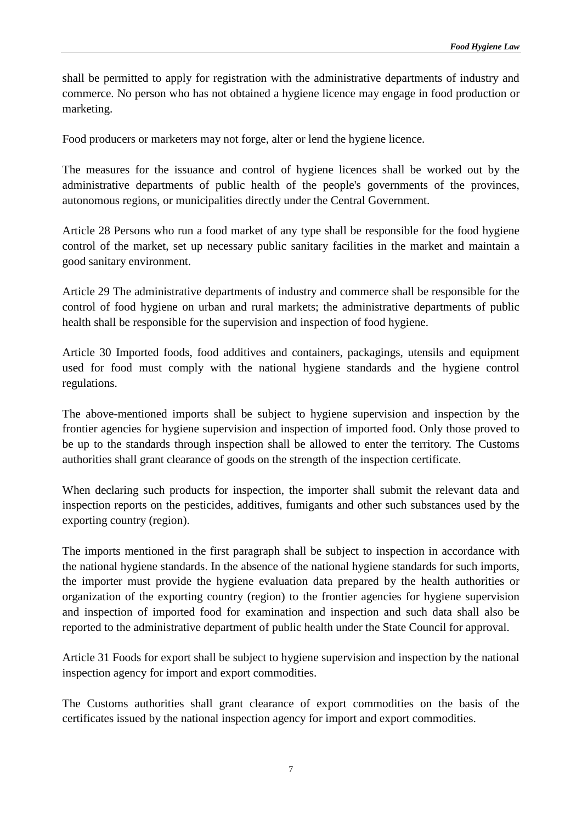shall be permitted to apply for registration with the administrative departments of industry and commerce. No person who has not obtained a hygiene licence may engage in food production or marketing.

Food producers or marketers may not forge, alter or lend the hygiene licence.

The measures for the issuance and control of hygiene licences shall be worked out by the administrative departments of public health of the people's governments of the provinces, autonomous regions, or municipalities directly under the Central Government.

Article 28 Persons who run a food market of any type shall be responsible for the food hygiene control of the market, set up necessary public sanitary facilities in the market and maintain a good sanitary environment.

Article 29 The administrative departments of industry and commerce shall be responsible for the control of food hygiene on urban and rural markets; the administrative departments of public health shall be responsible for the supervision and inspection of food hygiene.

Article 30 Imported foods, food additives and containers, packagings, utensils and equipment used for food must comply with the national hygiene standards and the hygiene control regulations.

The above-mentioned imports shall be subject to hygiene supervision and inspection by the frontier agencies for hygiene supervision and inspection of imported food. Only those proved to be up to the standards through inspection shall be allowed to enter the territory. The Customs authorities shall grant clearance of goods on the strength of the inspection certificate.

When declaring such products for inspection, the importer shall submit the relevant data and inspection reports on the pesticides, additives, fumigants and other such substances used by the exporting country (region).

The imports mentioned in the first paragraph shall be subject to inspection in accordance with the national hygiene standards. In the absence of the national hygiene standards for such imports, the importer must provide the hygiene evaluation data prepared by the health authorities or organization of the exporting country (region) to the frontier agencies for hygiene supervision and inspection of imported food for examination and inspection and such data shall also be reported to the administrative department of public health under the State Council for approval.

Article 31 Foods for export shall be subject to hygiene supervision and inspection by the national inspection agency for import and export commodities.

The Customs authorities shall grant clearance of export commodities on the basis of the certificates issued by the national inspection agency for import and export commodities.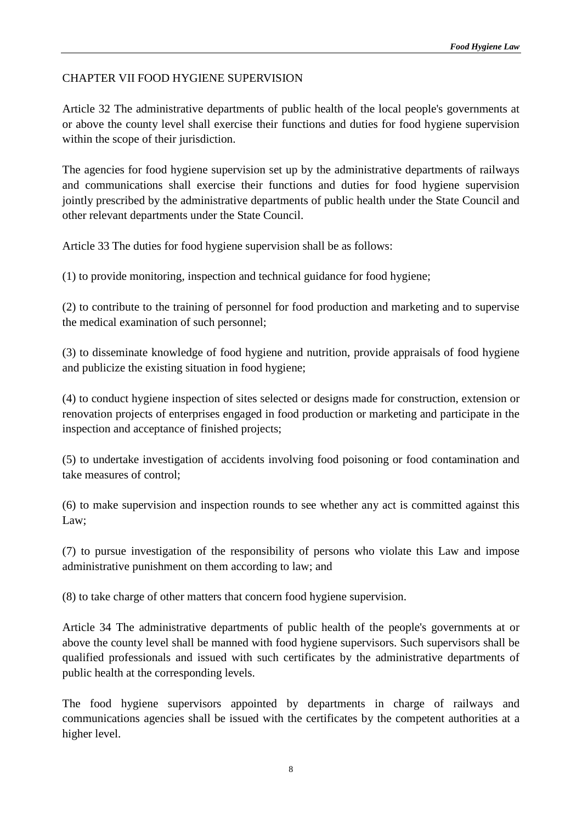# CHAPTER VII FOOD HYGIENE SUPERVISION

Article 32 The administrative departments of public health of the local people's governments at or above the county level shall exercise their functions and duties for food hygiene supervision within the scope of their jurisdiction.

The agencies for food hygiene supervision set up by the administrative departments of railways and communications shall exercise their functions and duties for food hygiene supervision jointly prescribed by the administrative departments of public health under the State Council and other relevant departments under the State Council.

Article 33 The duties for food hygiene supervision shall be as follows:

(1) to provide monitoring, inspection and technical guidance for food hygiene;

(2) to contribute to the training of personnel for food production and marketing and to supervise the medical examination of such personnel;

(3) to disseminate knowledge of food hygiene and nutrition, provide appraisals of food hygiene and publicize the existing situation in food hygiene;

(4) to conduct hygiene inspection of sites selected or designs made for construction, extension or renovation projects of enterprises engaged in food production or marketing and participate in the inspection and acceptance of finished projects;

(5) to undertake investigation of accidents involving food poisoning or food contamination and take measures of control;

(6) to make supervision and inspection rounds to see whether any act is committed against this Law;

(7) to pursue investigation of the responsibility of persons who violate this Law and impose administrative punishment on them according to law; and

(8) to take charge of other matters that concern food hygiene supervision.

Article 34 The administrative departments of public health of the people's governments at or above the county level shall be manned with food hygiene supervisors. Such supervisors shall be qualified professionals and issued with such certificates by the administrative departments of public health at the corresponding levels.

The food hygiene supervisors appointed by departments in charge of railways and communications agencies shall be issued with the certificates by the competent authorities at a higher level.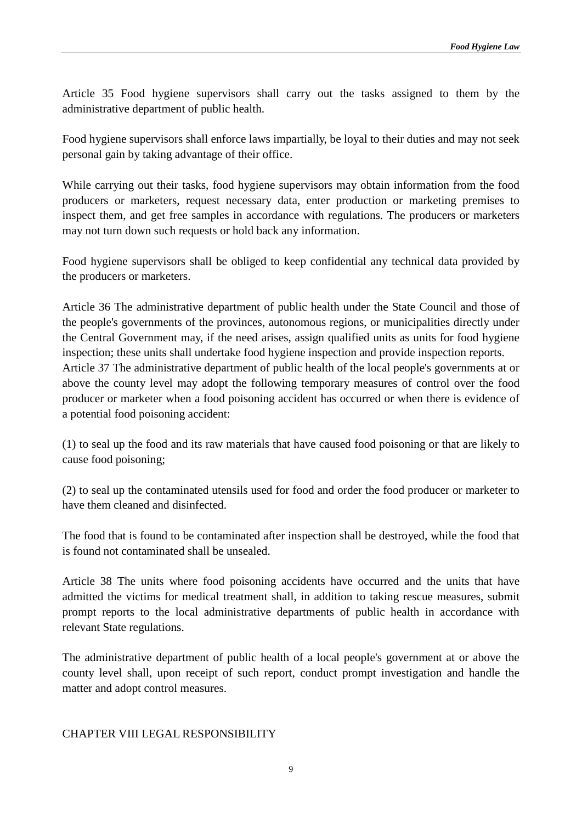Article 35 Food hygiene supervisors shall carry out the tasks assigned to them by the administrative department of public health.

Food hygiene supervisors shall enforce laws impartially, be loyal to their duties and may not seek personal gain by taking advantage of their office.

While carrying out their tasks, food hygiene supervisors may obtain information from the food producers or marketers, request necessary data, enter production or marketing premises to inspect them, and get free samples in accordance with regulations. The producers or marketers may not turn down such requests or hold back any information.

Food hygiene supervisors shall be obliged to keep confidential any technical data provided by the producers or marketers.

Article 36 The administrative department of public health under the State Council and those of the people's governments of the provinces, autonomous regions, or municipalities directly under the Central Government may, if the need arises, assign qualified units as units for food hygiene inspection; these units shall undertake food hygiene inspection and provide inspection reports. Article 37 The administrative department of public health of the local people's governments at or above the county level may adopt the following temporary measures of control over the food producer or marketer when a food poisoning accident has occurred or when there is evidence of a potential food poisoning accident:

(1) to seal up the food and its raw materials that have caused food poisoning or that are likely to cause food poisoning;

(2) to seal up the contaminated utensils used for food and order the food producer or marketer to have them cleaned and disinfected.

The food that is found to be contaminated after inspection shall be destroyed, while the food that is found not contaminated shall be unsealed.

Article 38 The units where food poisoning accidents have occurred and the units that have admitted the victims for medical treatment shall, in addition to taking rescue measures, submit prompt reports to the local administrative departments of public health in accordance with relevant State regulations.

The administrative department of public health of a local people's government at or above the county level shall, upon receipt of such report, conduct prompt investigation and handle the matter and adopt control measures.

## CHAPTER VIII LEGAL RESPONSIBILITY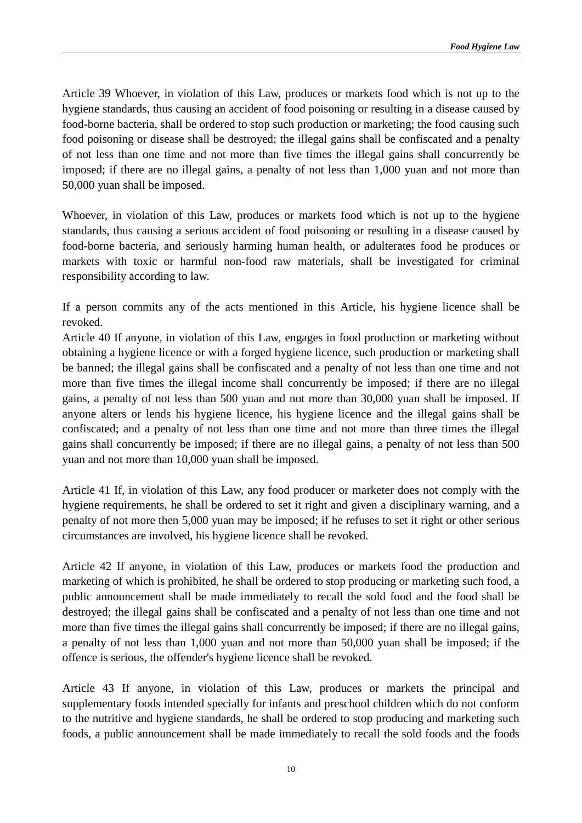Article 39 Whoever, in violation of this Law, produces or markets food which is not up to the hygiene standards, thus causing an accident of food poisoning or resulting in a disease caused by food-borne bacteria, shall be ordered to stop such production or marketing; the food causing such food poisoning or disease shall be destroyed; the illegal gains shall be confiscated and a penalty of not less than one time and not more than five times the illegal gains shall concurrently be imposed; if there are no illegal gains, a penalty of not less than 1,000 yuan and not more than 50,000 yuan shall be imposed.

Whoever, in violation of this Law, produces or markets food which is not up to the hygiene standards, thus causing a serious accident of food poisoning or resulting in a disease caused by food-borne bacteria, and seriously harming human health, or adulterates food he produces or markets with toxic or harmful non-food raw materials, shall be investigated for criminal responsibility according to law.

If a person commits any of the acts mentioned in this Article, his hygiene licence shall be revoked.

Article 40 If anyone, in violation of this Law, engages in food production or marketing without obtaining a hygiene licence or with a forged hygiene licence, such production or marketing shall be banned; the illegal gains shall be confiscated and a penalty of not less than one time and not more than five times the illegal income shall concurrently be imposed; if there are no illegal gains, a penalty of not less than 500 yuan and not more than 30,000 yuan shall be imposed. If anyone alters or lends his hygiene licence, his hygiene licence and the illegal gains shall be confiscated; and a penalty of not less than one time and not more than three times the illegal gains shall concurrently be imposed; if there are no illegal gains, a penalty of not less than 500 yuan and not more than 10,000 yuan shall be imposed.

Article 41 If, in violation of this Law, any food producer or marketer does not comply with the hygiene requirements, he shall be ordered to set it right and given a disciplinary warning, and a penalty of not more then 5,000 yuan may be imposed; if he refuses to set it right or other serious circumstances are involved, his hygiene licence shall be revoked.

Article 42 If anyone, in violation of this Law, produces or markets food the production and marketing of which is prohibited, he shall be ordered to stop producing or marketing such food, a public announcement shall be made immediately to recall the sold food and the food shall be destroyed; the illegal gains shall be confiscated and a penalty of not less than one time and not more than five times the illegal gains shall concurrently be imposed; if there are no illegal gains, a penalty of not less than 1,000 yuan and not more than 50,000 yuan shall be imposed; if the offence is serious, the offender's hygiene licence shall be revoked.

Article 43 If anyone, in violation of this Law, produces or markets the principal and supplementary foods intended specially for infants and preschool children which do not conform to the nutritive and hygiene standards, he shall be ordered to stop producing and marketing such foods, a public announcement shall be made immediately to recall the sold foods and the foods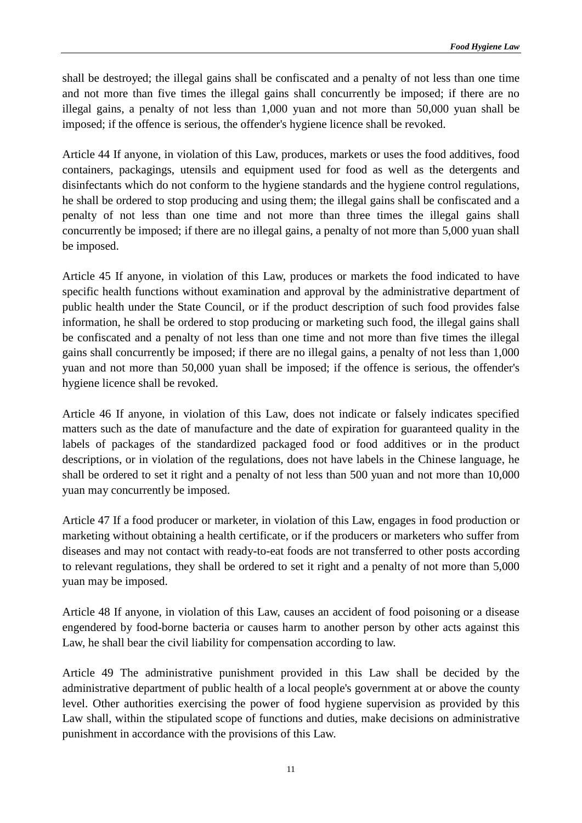shall be destroyed; the illegal gains shall be confiscated and a penalty of not less than one time and not more than five times the illegal gains shall concurrently be imposed; if there are no illegal gains, a penalty of not less than 1,000 yuan and not more than 50,000 yuan shall be imposed; if the offence is serious, the offender's hygiene licence shall be revoked.

Article 44 If anyone, in violation of this Law, produces, markets or uses the food additives, food containers, packagings, utensils and equipment used for food as well as the detergents and disinfectants which do not conform to the hygiene standards and the hygiene control regulations, he shall be ordered to stop producing and using them; the illegal gains shall be confiscated and a penalty of not less than one time and not more than three times the illegal gains shall concurrently be imposed; if there are no illegal gains, a penalty of not more than 5,000 yuan shall be imposed.

Article 45 If anyone, in violation of this Law, produces or markets the food indicated to have specific health functions without examination and approval by the administrative department of public health under the State Council, or if the product description of such food provides false information, he shall be ordered to stop producing or marketing such food, the illegal gains shall be confiscated and a penalty of not less than one time and not more than five times the illegal gains shall concurrently be imposed; if there are no illegal gains, a penalty of not less than 1,000 yuan and not more than 50,000 yuan shall be imposed; if the offence is serious, the offender's hygiene licence shall be revoked.

Article 46 If anyone, in violation of this Law, does not indicate or falsely indicates specified matters such as the date of manufacture and the date of expiration for guaranteed quality in the labels of packages of the standardized packaged food or food additives or in the product descriptions, or in violation of the regulations, does not have labels in the Chinese language, he shall be ordered to set it right and a penalty of not less than 500 yuan and not more than 10,000 yuan may concurrently be imposed.

Article 47 If a food producer or marketer, in violation of this Law, engages in food production or marketing without obtaining a health certificate, or if the producers or marketers who suffer from diseases and may not contact with ready-to-eat foods are not transferred to other posts according to relevant regulations, they shall be ordered to set it right and a penalty of not more than 5,000 yuan may be imposed.

Article 48 If anyone, in violation of this Law, causes an accident of food poisoning or a disease engendered by food-borne bacteria or causes harm to another person by other acts against this Law, he shall bear the civil liability for compensation according to law.

Article 49 The administrative punishment provided in this Law shall be decided by the administrative department of public health of a local people's government at or above the county level. Other authorities exercising the power of food hygiene supervision as provided by this Law shall, within the stipulated scope of functions and duties, make decisions on administrative punishment in accordance with the provisions of this Law.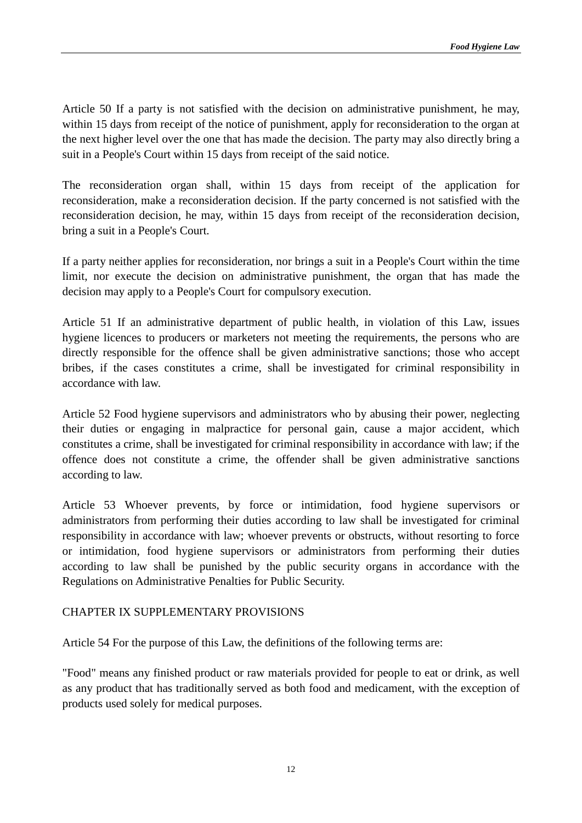Article 50 If a party is not satisfied with the decision on administrative punishment, he may, within 15 days from receipt of the notice of punishment, apply for reconsideration to the organ at the next higher level over the one that has made the decision. The party may also directly bring a suit in a People's Court within 15 days from receipt of the said notice.

The reconsideration organ shall, within 15 days from receipt of the application for reconsideration, make a reconsideration decision. If the party concerned is not satisfied with the reconsideration decision, he may, within 15 days from receipt of the reconsideration decision, bring a suit in a People's Court.

If a party neither applies for reconsideration, nor brings a suit in a People's Court within the time limit, nor execute the decision on administrative punishment, the organ that has made the decision may apply to a People's Court for compulsory execution.

Article 51 If an administrative department of public health, in violation of this Law, issues hygiene licences to producers or marketers not meeting the requirements, the persons who are directly responsible for the offence shall be given administrative sanctions; those who accept bribes, if the cases constitutes a crime, shall be investigated for criminal responsibility in accordance with law.

Article 52 Food hygiene supervisors and administrators who by abusing their power, neglecting their duties or engaging in malpractice for personal gain, cause a major accident, which constitutes a crime, shall be investigated for criminal responsibility in accordance with law; if the offence does not constitute a crime, the offender shall be given administrative sanctions according to law.

Article 53 Whoever prevents, by force or intimidation, food hygiene supervisors or administrators from performing their duties according to law shall be investigated for criminal responsibility in accordance with law; whoever prevents or obstructs, without resorting to force or intimidation, food hygiene supervisors or administrators from performing their duties according to law shall be punished by the public security organs in accordance with the Regulations on Administrative Penalties for Public Security.

#### CHAPTER IX SUPPLEMENTARY PROVISIONS

Article 54 For the purpose of this Law, the definitions of the following terms are:

"Food" means any finished product or raw materials provided for people to eat or drink, as well as any product that has traditionally served as both food and medicament, with the exception of products used solely for medical purposes.